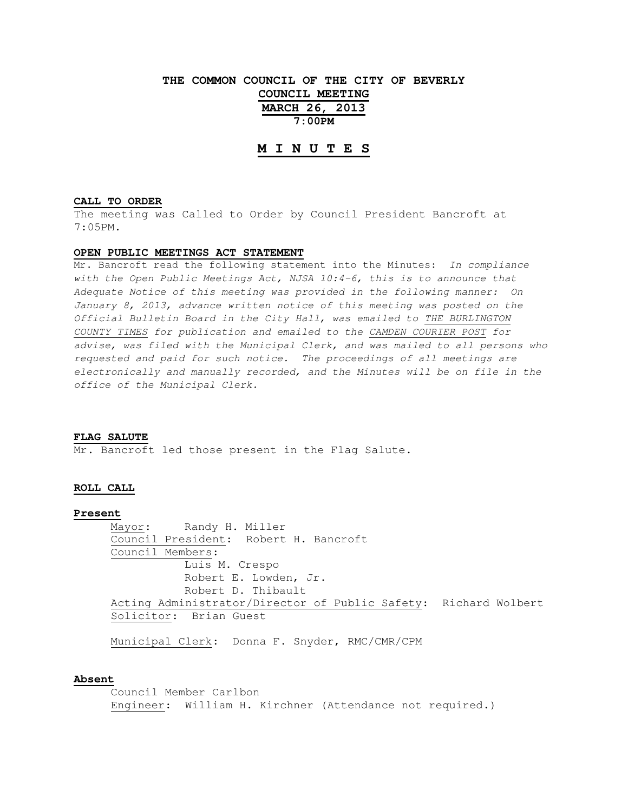**THE COMMON COUNCIL OF THE CITY OF BEVERLY COUNCIL MEETING**

> **MARCH 26, 2013 7:00PM**

# **M I N U T E S**

#### **CALL TO ORDER**

The meeting was Called to Order by Council President Bancroft at 7:05PM.

## **OPEN PUBLIC MEETINGS ACT STATEMENT**

Mr. Bancroft read the following statement into the Minutes: In compliance with the Open Public Meetings Act, NJSA 10:4-6, this is to announce that Adequate Notice of this meeting was provided in the following manner: On January 8, 2013, advance written notice of this meeting was posted on the Official Bulletin Board in the City Hall, was emailed to THE BURLINGTON COUNTY TIMES for publication and emailed to the CAMDEN COURIER POST for advise, was filed with the Municipal Clerk, and was mailed to all persons who requested and paid for such notice. The proceedings of all meetings are electronically and manually recorded, and the Minutes will be on file in the office of the Municipal Clerk.

#### **FLAG SALUTE**

Mr. Bancroft led those present in the Flag Salute.

## **ROLL CALL**

## **Present**

 Mayor: Randy H. Miller Council President: Robert H. Bancroft Council Members: Luis M. Crespo Robert E. Lowden, Jr. Robert D. Thibault Acting Administrator/Director of Public Safety: Richard Wolbert Solicitor: Brian Guest

Municipal Clerk: Donna F. Snyder, RMC/CMR/CPM

### **Absent**

 Council Member Carlbon Engineer: William H. Kirchner (Attendance not required.)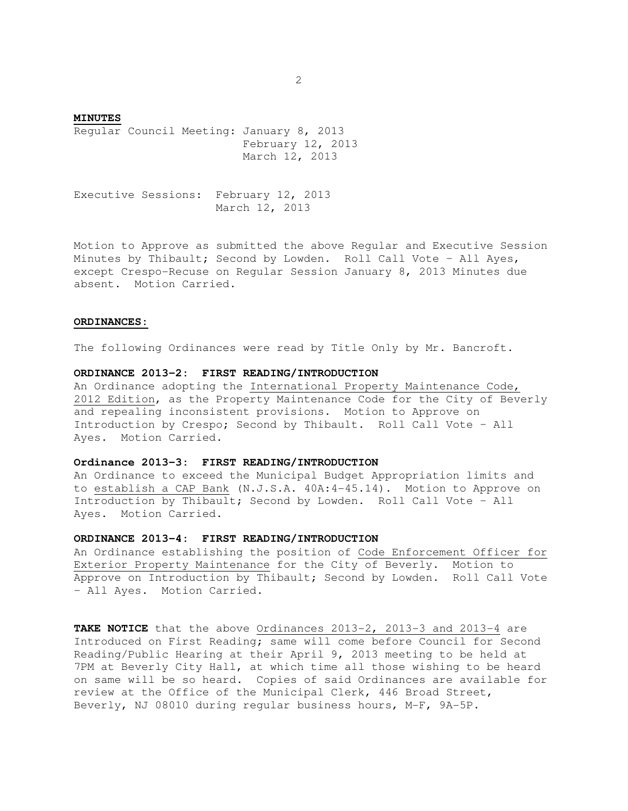**MINUTES** Regular Council Meeting: January 8, 2013 February 12, 2013 March 12, 2013

Executive Sessions: February 12, 2013 March 12, 2013

Motion to Approve as submitted the above Regular and Executive Session Minutes by Thibault; Second by Lowden. Roll Call Vote – All Ayes, except Crespo-Recuse on Regular Session January 8, 2013 Minutes due absent. Motion Carried.

#### **ORDINANCES:**

The following Ordinances were read by Title Only by Mr. Bancroft.

# **ORDINANCE 2013-2: FIRST READING/INTRODUCTION**

An Ordinance adopting the International Property Maintenance Code, 2012 Edition, as the Property Maintenance Code for the City of Beverly and repealing inconsistent provisions. Motion to Approve on Introduction by Crespo; Second by Thibault. Roll Call Vote – All Ayes. Motion Carried.

# **Ordinance 2013-3: FIRST READING/INTRODUCTION**

An Ordinance to exceed the Municipal Budget Appropriation limits and to establish a CAP Bank (N.J.S.A. 40A:4-45.14). Motion to Approve on Introduction by Thibault; Second by Lowden. Roll Call Vote – All Ayes. Motion Carried.

## **ORDINANCE 2013-4: FIRST READING/INTRODUCTION**

An Ordinance establishing the position of Code Enforcement Officer for Exterior Property Maintenance for the City of Beverly. Motion to Approve on Introduction by Thibault; Second by Lowden. Roll Call Vote – All Ayes. Motion Carried.

**TAKE NOTICE** that the above Ordinances 2013-2, 2013-3 and 2013-4 are Introduced on First Reading; same will come before Council for Second Reading/Public Hearing at their April 9, 2013 meeting to be held at 7PM at Beverly City Hall, at which time all those wishing to be heard on same will be so heard. Copies of said Ordinances are available for review at the Office of the Municipal Clerk, 446 Broad Street, Beverly, NJ 08010 during regular business hours, M-F, 9A-5P.

2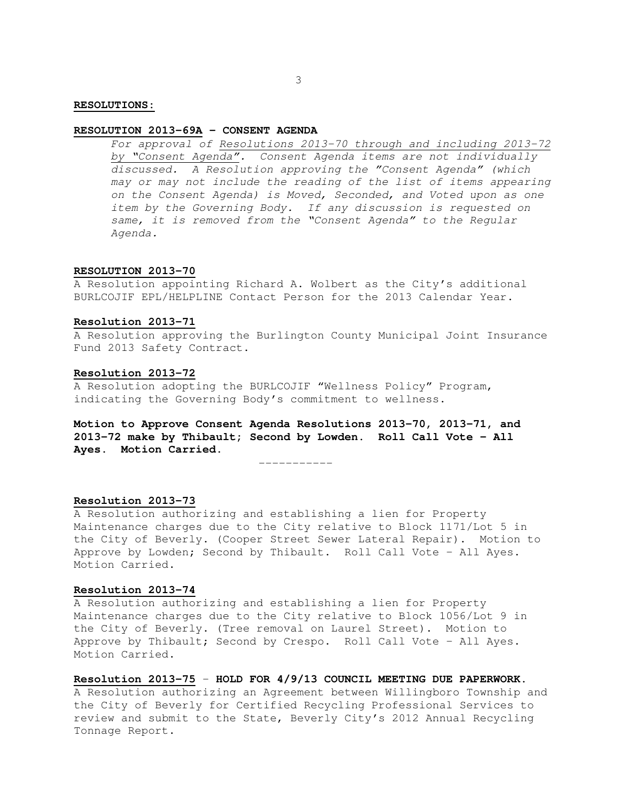## **RESOLUTION 2013-69A - CONSENT AGENDA**

For approval of Resolutions 2013-70 through and including 2013-72 by "Consent Agenda". Consent Agenda items are not individually discussed. A Resolution approving the "Consent Agenda" (which may or may not include the reading of the list of items appearing on the Consent Agenda) is Moved, Seconded, and Voted upon as one item by the Governing Body. If any discussion is requested on same, it is removed from the "Consent Agenda" to the Regular Agenda.

## **RESOLUTION 2013-70**

A Resolution appointing Richard A. Wolbert as the City's additional BURLCOJIF EPL/HELPLINE Contact Person for the 2013 Calendar Year.

### **Resolution 2013-71**

A Resolution approving the Burlington County Municipal Joint Insurance Fund 2013 Safety Contract.

### **Resolution 2013-72**

A Resolution adopting the BURLCOJIF "Wellness Policy" Program, indicating the Governing Body's commitment to wellness.

**Motion to Approve Consent Agenda Resolutions 2013-70, 2013-71, and 2013-72 make by Thibault; Second by Lowden. Roll Call Vote – All Ayes. Motion Carried.** 

-----------

# **Resolution 2013-73**

A Resolution authorizing and establishing a lien for Property Maintenance charges due to the City relative to Block 1171/Lot 5 in the City of Beverly. (Cooper Street Sewer Lateral Repair). Motion to Approve by Lowden; Second by Thibault. Roll Call Vote – All Ayes. Motion Carried.

# **Resolution 2013-74**

A Resolution authorizing and establishing a lien for Property Maintenance charges due to the City relative to Block 1056/Lot 9 in the City of Beverly. (Tree removal on Laurel Street). Motion to Approve by Thibault; Second by Crespo. Roll Call Vote – All Ayes. Motion Carried.

**Resolution 2013-75** – **HOLD FOR 4/9/13 COUNCIL MEETING DUE PAPERWORK.** A Resolution authorizing an Agreement between Willingboro Township and the City of Beverly for Certified Recycling Professional Services to review and submit to the State, Beverly City's 2012 Annual Recycling Tonnage Report.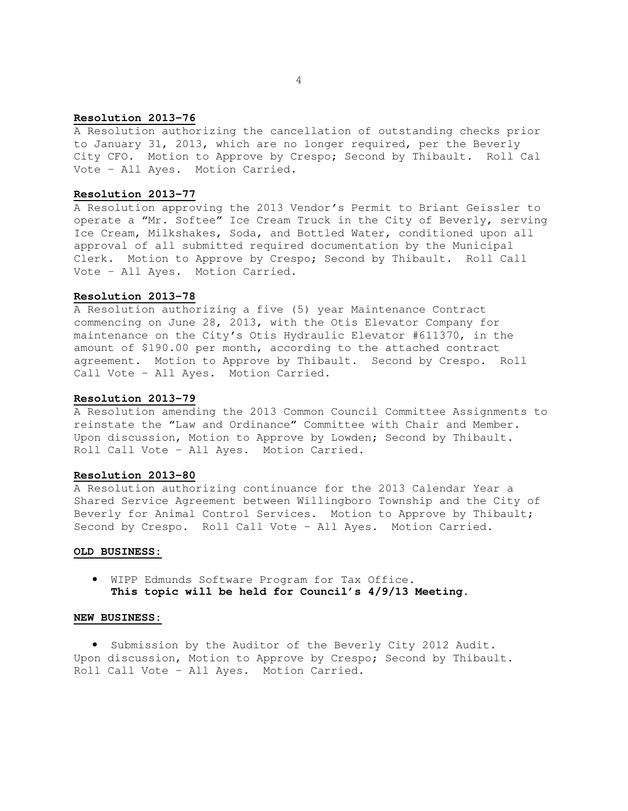## **Resolution 2013-76**

A Resolution authorizing the cancellation of outstanding checks prior to January 31, 2013, which are no longer required, per the Beverly City CFO. Motion to Approve by Crespo; Second by Thibault. Roll Cal Vote – All Ayes. Motion Carried.

## **Resolution 2013-77**

A Resolution approving the 2013 Vendor's Permit to Briant Geissler to operate a "Mr. Softee" Ice Cream Truck in the City of Beverly, serving Ice Cream, Milkshakes, Soda, and Bottled Water, conditioned upon all approval of all submitted required documentation by the Municipal Clerk. Motion to Approve by Crespo; Second by Thibault. Roll Call Vote – All Ayes. Motion Carried.

## **Resolution 2013-78**

A Resolution authorizing a five (5) year Maintenance Contract commencing on June 28, 2013, with the Otis Elevator Company for maintenance on the City's Otis Hydraulic Elevator #611370, in the amount of \$190.00 per month, according to the attached contract agreement. Motion to Approve by Thibault. Second by Crespo. Roll Call Vote – All Ayes. Motion Carried.

#### **Resolution 2013-79**

A Resolution amending the 2013 Common Council Committee Assignments to reinstate the "Law and Ordinance" Committee with Chair and Member. Upon discussion, Motion to Approve by Lowden; Second by Thibault. Roll Call Vote – All Ayes. Motion Carried.

## **Resolution 2013-80**

A Resolution authorizing continuance for the 2013 Calendar Year a Shared Service Agreement between Willingboro Township and the City of Beverly for Animal Control Services. Motion to Approve by Thibault; Second by Crespo. Roll Call Vote – All Ayes. Motion Carried.

## **OLD BUSINESS:**

• WIPP Edmunds Software Program for Tax Office. **This topic will be held for Council's 4/9/13 Meeting.** 

### **NEW BUSINESS:**

• Submission by the Auditor of the Beverly City 2012 Audit. Upon discussion, Motion to Approve by Crespo; Second by Thibault. Roll Call Vote – All Ayes. Motion Carried.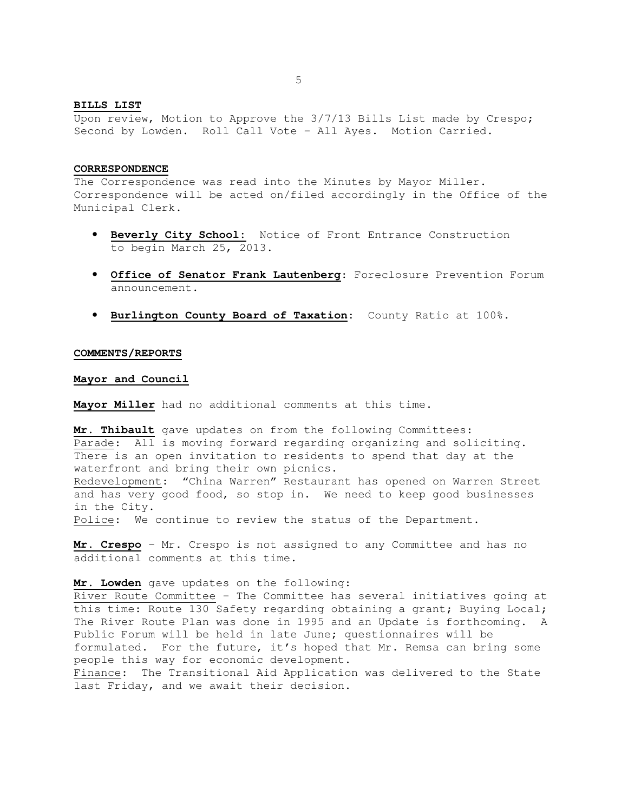#### **BILLS LIST**

Upon review, Motion to Approve the 3/7/13 Bills List made by Crespo; Second by Lowden. Roll Call Vote – All Ayes. Motion Carried.

### **CORRESPONDENCE**

The Correspondence was read into the Minutes by Mayor Miller. Correspondence will be acted on/filed accordingly in the Office of the Municipal Clerk.

- **Beverly City School:** Notice of Front Entrance Construction to begin March 25, 2013.
- **Office of Senator Frank Lautenberg**: Foreclosure Prevention Forum announcement.
- **Burlington County Board of Taxation**: County Ratio at 100%.

### **COMMENTS/REPORTS**

#### **Mayor and Council**

**Mayor Miller** had no additional comments at this time.

**Mr. Thibault** gave updates on from the following Committees: Parade: All is moving forward regarding organizing and soliciting. There is an open invitation to residents to spend that day at the waterfront and bring their own picnics. Redevelopment: "China Warren" Restaurant has opened on Warren Street and has very good food, so stop in. We need to keep good businesses in the City.

Police: We continue to review the status of the Department.

**Mr. Crespo** – Mr. Crespo is not assigned to any Committee and has no additional comments at this time.

#### **Mr. Lowden** gave updates on the following:

River Route Committee – The Committee has several initiatives going at this time: Route 130 Safety regarding obtaining a grant; Buying Local; The River Route Plan was done in 1995 and an Update is forthcoming. A Public Forum will be held in late June; questionnaires will be formulated. For the future, it's hoped that Mr. Remsa can bring some people this way for economic development. Finance: The Transitional Aid Application was delivered to the State

last Friday, and we await their decision.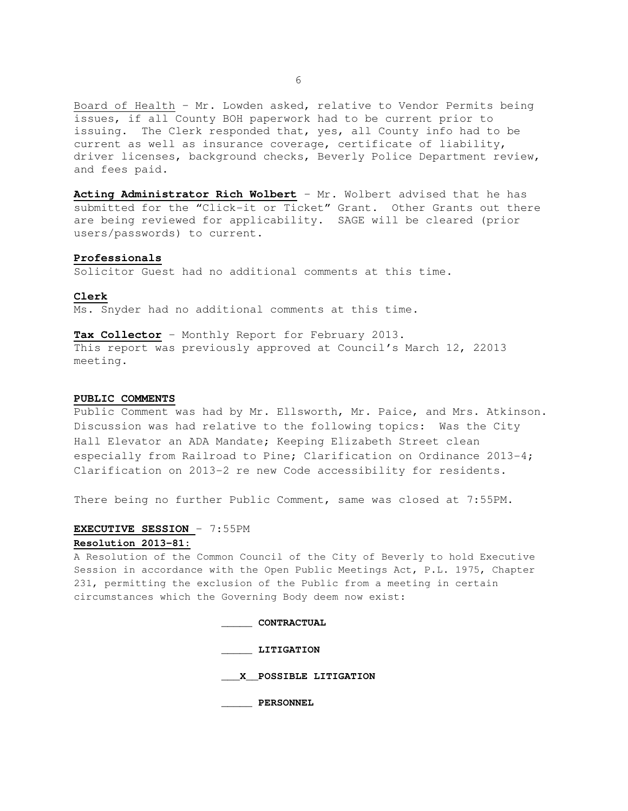Board of Health – Mr. Lowden asked, relative to Vendor Permits being issues, if all County BOH paperwork had to be current prior to issuing. The Clerk responded that, yes, all County info had to be current as well as insurance coverage, certificate of liability, driver licenses, background checks, Beverly Police Department review, and fees paid.

**Acting Administrator Rich Wolbert** – Mr. Wolbert advised that he has submitted for the "Click-it or Ticket" Grant. Other Grants out there are being reviewed for applicability. SAGE will be cleared (prior users/passwords) to current.

#### **Professionals**

Solicitor Guest had no additional comments at this time.

#### **Clerk**

Ms. Snyder had no additional comments at this time.

**Tax Collector** – Monthly Report for February 2013. This report was previously approved at Council's March 12, 22013 meeting.

#### **PUBLIC COMMENTS**

Public Comment was had by Mr. Ellsworth, Mr. Paice, and Mrs. Atkinson. Discussion was had relative to the following topics: Was the City Hall Elevator an ADA Mandate; Keeping Elizabeth Street clean especially from Railroad to Pine; Clarification on Ordinance 2013-4; Clarification on 2013-2 re new Code accessibility for residents.

There being no further Public Comment, same was closed at 7:55PM.

# **EXECUTIVE SESSION** – 7:55PM **Resolution 2013-81:**

A Resolution of the Common Council of the City of Beverly to hold Executive Session in accordance with the Open Public Meetings Act, P.L. 1975, Chapter 231, permitting the exclusion of the Public from a meeting in certain circumstances which the Governing Body deem now exist:

> **\_\_\_\_\_ CONTRACTUAL \_\_\_\_\_ LITIGATION \_\_\_X\_\_POSSIBLE LITIGATION \_\_\_\_\_ PERSONNEL**